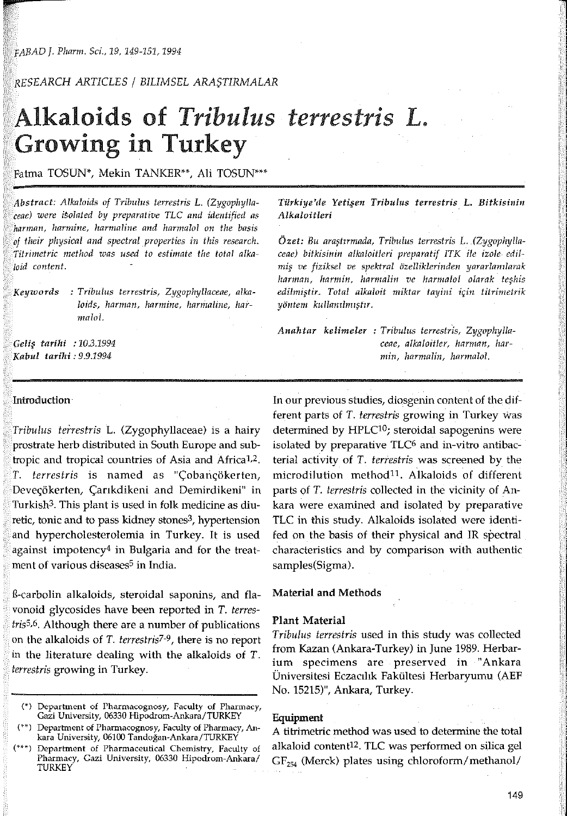## *RESEARCH ARTICLES* / *BILIMSEL*

# Alkaloids of *Tribulus terrestris L.*  Growing in Turkey

Fatma TOSUN\*, Mekin TANKER\*\*, Ali TOSUN\*\*\*

*Abstract: Alkaloids of Tribulus terrestris* L. *(Zygophyllaceae) were* by *preparative TLC and identified as harman, harmine, and harmalol on the basis of their physical and spectral properties in this research. method was used to estimate the total alkaloid content.* 

## *Keyzvords : Tribulus terrestris, Zygophyllaceae, alkn*loids, harman, harmine, harmaline, har*malol.*

*tarihi : 10.3.1994 Kabul tarihi : 9.9.1994* 

### Introduction

*Tribulus teirestris* L. (Zygophyllaceae) is a hairy prostrate herb distributed in South Europe and subtropic and tropical countries of Asia and Africal,2. *T. terrestris* is named as "Çobançökerten, Deveçökerten, Çarıkdikeni and Demirdikeni" in Turkish3. This plant is used in folk medicine as diuretic, tonic and to pass kidney stones<sup>3</sup>, hypertension and hypercholesterolemia in Turkey. it is used against impotency4 in Bulgaria and for the treatment of various diseases<sup>5</sup> in India.

ß-carbolin alkaloids, steroidal saponins, and flavonoid glycosides have been reported in T. terres*tris5,6.* Although there are a number of publications on the alkaloids of *T. terrestris7-9,* there is no report in the literature dealing with the alkaloids of *T. terrestris* growing in Turkey.

*Türkiye'de Tribulus terrestris L. Bitkisinin Alkaloitleri* 

Özet: Bu araştırmada, Tribulus terrestris L. (Zygophylla*ceae) bitkisinin alkaloitleri preparatif ITK ile izole edilve fiziksel ve spektral ô'zelliklerinden*  harman, harmin, harmalin ve harmalol olarak teşhis *Total alkaloit miktar tayini için titrimetrik yô·ntem* 

*Anahtar kelimeler : Tribulus terrestris, Zygaphyllaceae, alkaloitler, harman, harmin, harmalin, harmalol.* 

In our previous studies, diosgenin content of the different parts of *T. terrestris* growing in Turkey Was determined by HPLC<sup>10</sup>; steroidal sapogenins were isolated by preparative  $TLC<sup>6</sup>$  and in-vitro antibacterial activity of *T. terrestris* was screened by the microdilution method<sup>11</sup> A lkaloids of different parts of *T. terrestris* collected in the vicinity of Ankara were examined and isolated by preparative TLC in this study. Alkaloids isolated were identifed on the hasis of their physical and IR spectral characteristics and by comparison with authentic samples(Sigma).

#### Material and Methods

#### Plant Material

*Tribulus terrestris* used in this study was collected from Kazan (Ankara-Turkey) in June 1989. Herbarium specimens are preserved in "Ankara Üniversitesi Fakültesi Herbaryumu (AEF No. 15215)", Ankara, Turkey.

#### Equipment

A titrimetric method was used to determine the total alkaloid content12. TLC was performed on silica gel  $GF<sub>254</sub>$  (Merck) plates using chloroform/methanol/

<sup>(\*)</sup> Departrnent of Pharmacognosy, Faculty of Pharmacy, Gazi University, 06330 Hipodrom-Ankara/TURKEY

<sup>(\*\*)</sup> Department of Phannacognosy, Faculty of Pharmacy, Ankara University, 06100

<sup>(\*\*\*)</sup> Department of Pharmaceutical Chemistry, Faculty of Pharmacy, Gazi University, 06330 Hipodrom-Ankara/ TURKEY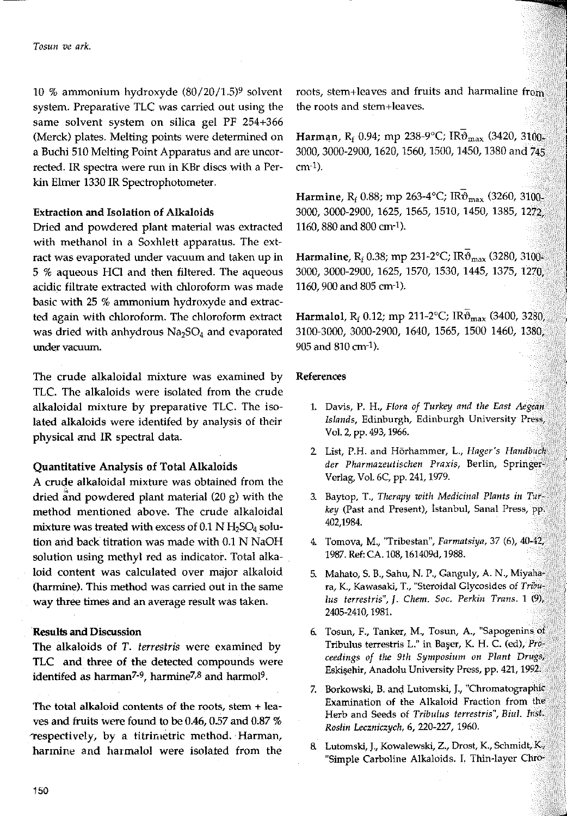10 % ammonium hydroxyde (80/20/1.5)9 solvent system. Preparative TLC was carried out using the same solvent system on silica gel PF 254+366 (Merck) plates. Melting points were determined on a Buchi 510 Melting Point Apparatus and are uncorrected. IR spectra were run in KBr discs with a Perkin Elmer 1330 IR Spectrophotometer.

#### Extraction and Isolation of Alkaloids

Dried and powdered plant material was extracted with methanol in a Soxhlett apparatus. The extract was evaporated under vacuum and taken up in 5 % aqueous HCI and then filtered. The aqueous acidic filtrate extracted with chloroform was made basic with 25 % ammonium hydroxyde and extracted again with chloroform. The chloroform extract was dried with anhydrous  $Na<sub>2</sub>SO<sub>4</sub>$  and evaporated **under vacuum.** 

The crude alkaloidal mixture was examined by TLC. The alkaloids were isolated from the crude alkaloidal mixture by preparative TLC. The isolated alkaloids were identifed by analysis of their physical and IR spectral data.

## Quantitative Analysis of Total Alkaloids

A crude alkaloidal mixture was obtained from the dried and powdered plant material  $(20 g)$  with the method mentioned above. The crude alkaloidal mixture was treated with excess of  $0.1$  N H<sub>2</sub>SO<sub>4</sub> solution and back titration was made with 0.1 N NaOH solution using methyl red as indicator. Total alkaloid content was calculated over major alkaloid (harmine). This method was carried out in the same way three times and an average result was taken.

#### **Results and** Discussion

The alkaloids of T. *terrestris* were examined by TLC and three of the detected compounds were identifed as harman7-9, harmine7,8 and harmol9.

The total alkaloid contents of the roots, stem  $+$  leaves and fruits were found to be 0.46, 0.57 and 0.87 % 1"espectively, by a titrimetric method. Harman, harmine and harmalol were isolated from the roots, stem+leaves and fruits and harmaline from the roots and stem+leaves.

Harman, R<sub>f</sub> 0.94; mp 238-9°C; IR $\vartheta_{\text{max}}$  (3420, 3100-3000, 3000-2900, 1620, 1560, 1500, 1450, 1380 and 745 cm-1).

Harmine, R<sub>f</sub> 0.88; mp 263-4°C; IR $\vartheta_{\text{max}}$  (3260, 3100. 3000, 3000-2900, 1625, 1565, 1510, 1450, 1385, 1272, 1160, 880 and 800 cm-1).

Harmaline, R<sub>f</sub> 0.38; mp 231-2°C; IR $\mathfrak{v}_{\rm max}$  (3280, 3100-3000, 3000-2900, 1625, 1570, 1530, 1445, 1375, 1270, 1160, 900 and 805 cm-1).

Harmalol, R<sub>f</sub> 0.12; mp 211-2°C;  $IR\bar{\vartheta}_{\text{max}}$  (3400, 3280) 3100-3000, 3000-2900, 1640, 1565, 1500 1460, 1380, 905 and 810 cm<sup>-1</sup>).

#### References

- 1. Davis, P. H., *Flora of Turkey and fhe East Aegean Islands,* **Edinburgh, Edinburgh University Press,**  Vol. 2, pp. 493, 1966.
- **2 List, P.H. and Hörhammer, L.,** *Hager's Handbuch der Pharmazeutischen Praxis,* **Berlin, Springer-**Verlag, Vol. 6C, pp. 241, 1979.
- 3. Baytop, T., *Therapy with Medicinal Plants in Tur· key* (Past and Present), İstanbul, Sanal Press, pp, 402,1984.
- **4. Tomova, M., "Tribestan",** *Farmatsiya,* **37 (6), 40-42<sup>1</sup>** 1987. Ref: CA. 108, 161409d, 1988.
- 5. Mahato, S. B., Sahu, N. P., Ganguly, A. N., Miyaha· **ra, K., Kawasaki, T., "Steroidal Glycosides of** *Tribulus terrestris",* **J.** *Chem. Soc. Perkin Trans.* **1 (9),**  2405-2410, 1981.
- **6. Tosun, F., Tanker,. M., Tosun, A., "Sapogenins of Tribulus terrestris L." in** Başer, **K. H. C. (ed),** *Proceedings of the 9th Symposium on* Planı *Drugs,* Eskişehir, Anadolu University Press, pp. 421, 1992.
- 7. Borkowski, B. and Lutomski, J,, "Chromatographic **Examination of the Alkaloid Fraction from the Herb and Seeds of** *Tribulus terrestris", Biul. Inst. Roslin Leczniczych,* 6, 220-227, 1960.
- **8. Lutomski, J., Kowalewski, Z., Drost, K., Schmidt,** K.ı "Simple Carboline Alkaloids. I. Thin-layer Chro-